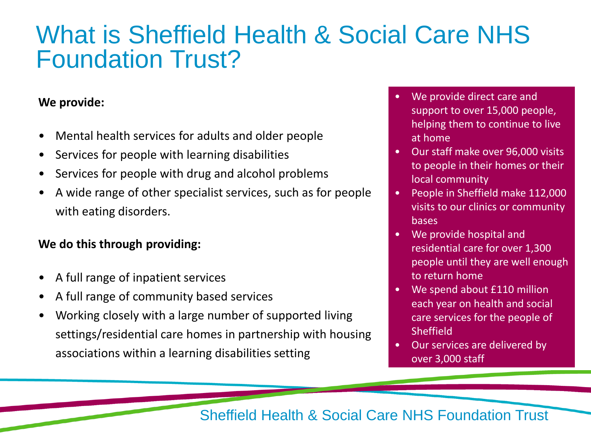### What is Sheffield Health & Social Care NHS Foundation Trust?

#### **We provide:**

- Mental health services for adults and older people
- Services for people with learning disabilities
- Services for people with drug and alcohol problems
- A wide range of other specialist services, such as for people with eating disorders.

#### **We do this through providing:**

- A full range of inpatient services
- A full range of community based services
- Working closely with a large number of supported living settings/residential care homes in partnership with housing associations within a learning disabilities setting
- We provide direct care and support to over 15,000 people, helping them to continue to live at home
- Our staff make over 96,000 visits to people in their homes or their local community
- People in Sheffield make 112,000 visits to our clinics or community bases
- We provide hospital and residential care for over 1,300 people until they are well enough to return home
- We spend about £110 million each year on health and social care services for the people of Sheffield
- Our services are delivered by over 3,000 staff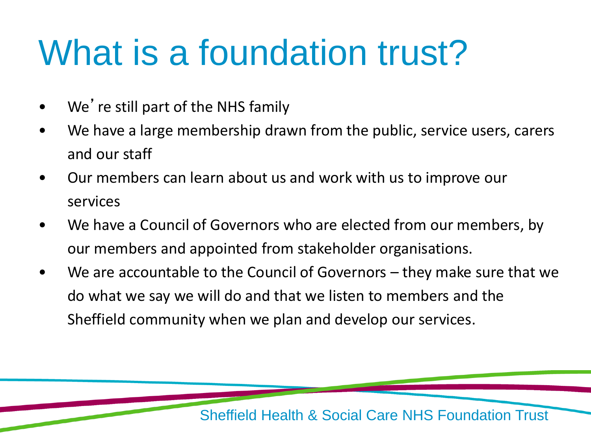# What is a foundation trust?

- We're still part of the NHS family
- We have a large membership drawn from the public, service users, carers and our staff
- Our members can learn about us and work with us to improve our services
- We have a Council of Governors who are elected from our members, by our members and appointed from stakeholder organisations.
- We are accountable to the Council of Governors  $-$  they make sure that we do what we say we will do and that we listen to members and the Sheffield community when we plan and develop our services.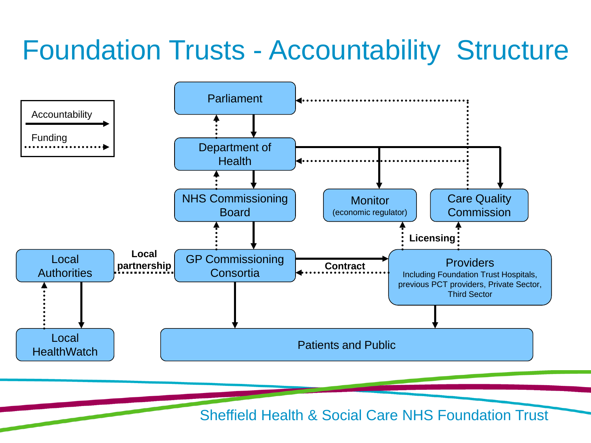### Foundation Trusts - Accountability Structure

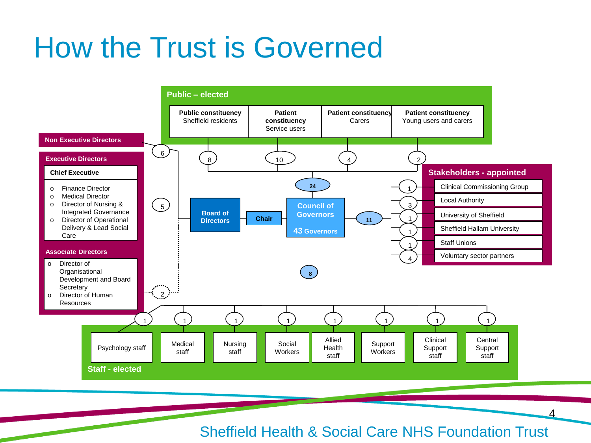## How the Trust is Governed



Sheffield Health & Social Care NHS Foundation Trust

4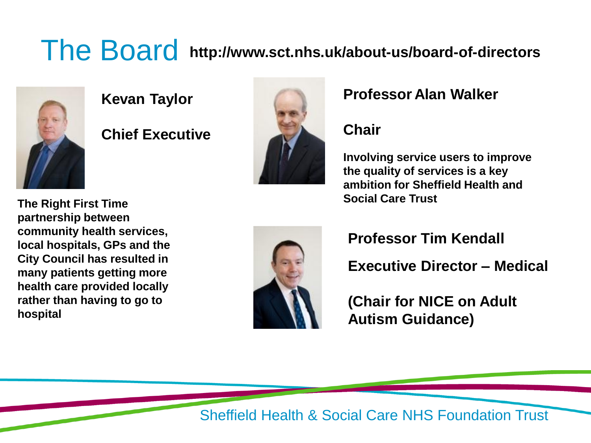### The Board **http://www.sct.nhs.uk/about-us/board-of-directors**



**Kevan Taylor**

**Chief Executive**



#### **Professor Alan Walker**

#### **Chair**

**Involving service users to improve the quality of services is a key ambition for Sheffield Health and** 

**Social Care Trust The Right First Time partnership between community health services, local hospitals, GPs and the City Council has resulted in many patients getting more health care provided locally rather than having to go to hospital**



**Professor Tim Kendall**

**Executive Director – Medical**

**(Chair for NICE on Adult Autism Guidance)**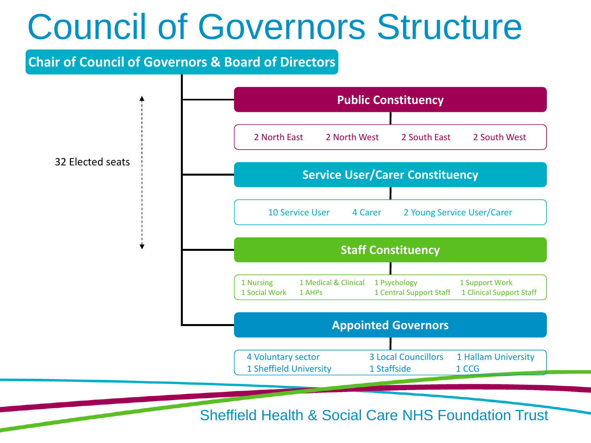## Council of Governors Structure

#### **Chair of Council of Governors & Board of Directors**

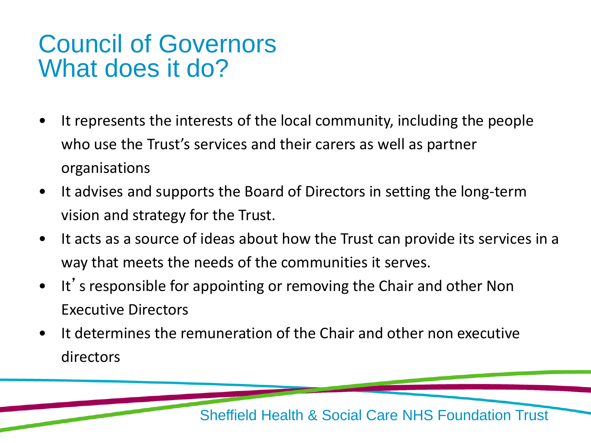### Council of Governors What does it do?

- It represents the interests of the local community, including the people who use the Trust's services and their carers as well as partner organisations
- It advises and supports the Board of Directors in setting the long-term vision and strategy for the Trust.
- It acts as a source of ideas about how the Trust can provide its services in a way that meets the needs of the communities it serves.
- It's responsible for appointing or removing the Chair and other Non Executive Directors
- It determines the remuneration of the Chair and other non executive directors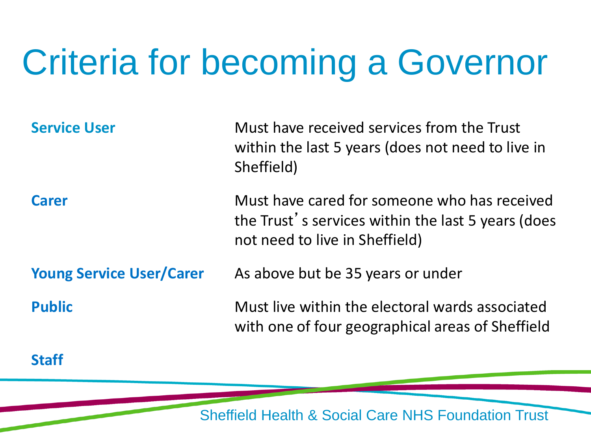# Criteria for becoming a Governor

| <b>Service User</b>             | Must have received services from the Trust<br>within the last 5 years (does not need to live in<br>Sheffield)                        |
|---------------------------------|--------------------------------------------------------------------------------------------------------------------------------------|
| <b>Carer</b>                    | Must have cared for someone who has received<br>the Trust's services within the last 5 years (does<br>not need to live in Sheffield) |
| <b>Young Service User/Carer</b> | As above but be 35 years or under                                                                                                    |
| <b>Public</b>                   | Must live within the electoral wards associated<br>with one of four geographical areas of Sheffield                                  |

**Staff**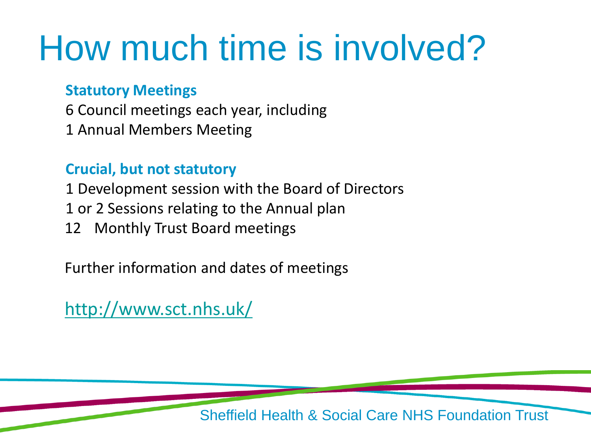# How much time is involved?

#### **Statutory Meetings**

6 Council meetings each year, including 1 Annual Members Meeting

#### **Crucial, but not statutory**

1 Development session with the Board of Directors

- 1 or 2 Sessions relating to the Annual plan
- 12 Monthly Trust Board meetings

Further information and dates of meetings

<http://www.sct.nhs.uk/>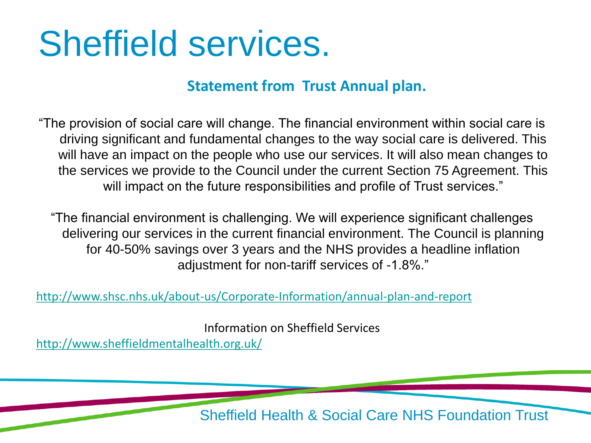## Sheffield services.

#### **Statement from Trust Annual plan.**

"The provision of social care will change. The financial environment within social care is driving significant and fundamental changes to the way social care is delivered. This will have an impact on the people who use our services. It will also mean changes to the services we provide to the Council under the current Section 75 Agreement. This will impact on the future responsibilities and profile of Trust services."

"The financial environment is challenging. We will experience significant challenges delivering our services in the current financial environment. The Council is planning for 40-50% savings over 3 years and the NHS provides a headline inflation adjustment for non-tariff services of -1.8%."

<http://www.shsc.nhs.uk/about-us/Corporate-Information/annual-plan-and-report>

Information on Sheffield Services <http://www.sheffieldmentalhealth.org.uk/>